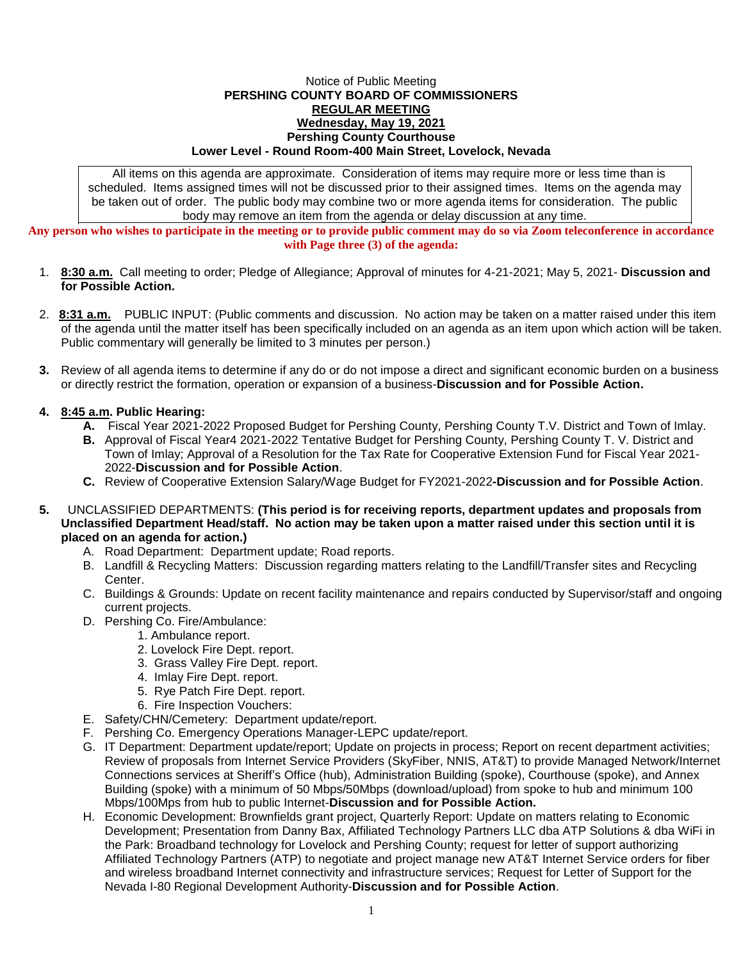## Notice of Public Meeting **PERSHING COUNTY BOARD OF COMMISSIONERS REGULAR MEETING Wednesday, May 19, 2021 Pershing County Courthouse Lower Level - Round Room-400 Main Street, Lovelock, Nevada**

All items on this agenda are approximate. Consideration of items may require more or less time than is scheduled. Items assigned times will not be discussed prior to their assigned times. Items on the agenda may be taken out of order. The public body may combine two or more agenda items for consideration. The public body may remove an item from the agenda or delay discussion at any time.

**Any person who wishes to participate in the meeting or to provide public comment may do so via Zoom teleconference in accordance with Page three (3) of the agenda:**

- 1. **8:30 a.m.** Call meeting to order; Pledge of Allegiance; Approval of minutes for 4-21-2021; May 5, 2021- **Discussion and for Possible Action.**
- 2. **8:31 a.m.** PUBLIC INPUT: (Public comments and discussion. No action may be taken on a matter raised under this item of the agenda until the matter itself has been specifically included on an agenda as an item upon which action will be taken. Public commentary will generally be limited to 3 minutes per person.)
- **3.** Review of all agenda items to determine if any do or do not impose a direct and significant economic burden on a business or directly restrict the formation, operation or expansion of a business-**Discussion and for Possible Action.**

## **4. 8:45 a.m. Public Hearing:**

- **A.** Fiscal Year 2021-2022 Proposed Budget for Pershing County, Pershing County T.V. District and Town of Imlay.
- **B.** Approval of Fiscal Year4 2021-2022 Tentative Budget for Pershing County, Pershing County T. V. District and Town of Imlay; Approval of a Resolution for the Tax Rate for Cooperative Extension Fund for Fiscal Year 2021- 2022-**Discussion and for Possible Action**.
- **C.** Review of Cooperative Extension Salary/Wage Budget for FY2021-2022**-Discussion and for Possible Action**.
- **5.** UNCLASSIFIED DEPARTMENTS: **(This period is for receiving reports, department updates and proposals from Unclassified Department Head/staff. No action may be taken upon a matter raised under this section until it is placed on an agenda for action.)**
	- A. Road Department: Department update; Road reports.
	- B. Landfill & Recycling Matters: Discussion regarding matters relating to the Landfill/Transfer sites and Recycling Center.
	- C. Buildings & Grounds: Update on recent facility maintenance and repairs conducted by Supervisor/staff and ongoing current projects.
	- D. Pershing Co. Fire/Ambulance:
		- 1. Ambulance report.
		- 2. Lovelock Fire Dept. report.
		- 3. Grass Valley Fire Dept. report.
		- 4. Imlay Fire Dept. report.
		- 5. Rye Patch Fire Dept. report.
		- 6. Fire Inspection Vouchers:
	- E. Safety/CHN/Cemetery: Department update/report.
	- F. Pershing Co. Emergency Operations Manager-LEPC update/report.
	- G. IT Department: Department update/report; Update on projects in process; Report on recent department activities; Review of proposals from Internet Service Providers (SkyFiber, NNIS, AT&T) to provide Managed Network/Internet Connections services at Sheriff's Office (hub), Administration Building (spoke), Courthouse (spoke), and Annex Building (spoke) with a minimum of 50 Mbps/50Mbps (download/upload) from spoke to hub and minimum 100 Mbps/100Mps from hub to public Internet-**Discussion and for Possible Action.**
	- H. Economic Development: Brownfields grant project, Quarterly Report: Update on matters relating to Economic Development; Presentation from Danny Bax, Affiliated Technology Partners LLC dba ATP Solutions & dba WiFi in the Park: Broadband technology for Lovelock and Pershing County; request for letter of support authorizing Affiliated Technology Partners (ATP) to negotiate and project manage new AT&T Internet Service orders for fiber and wireless broadband Internet connectivity and infrastructure services; Request for Letter of Support for the Nevada I-80 Regional Development Authority-**Discussion and for Possible Action**.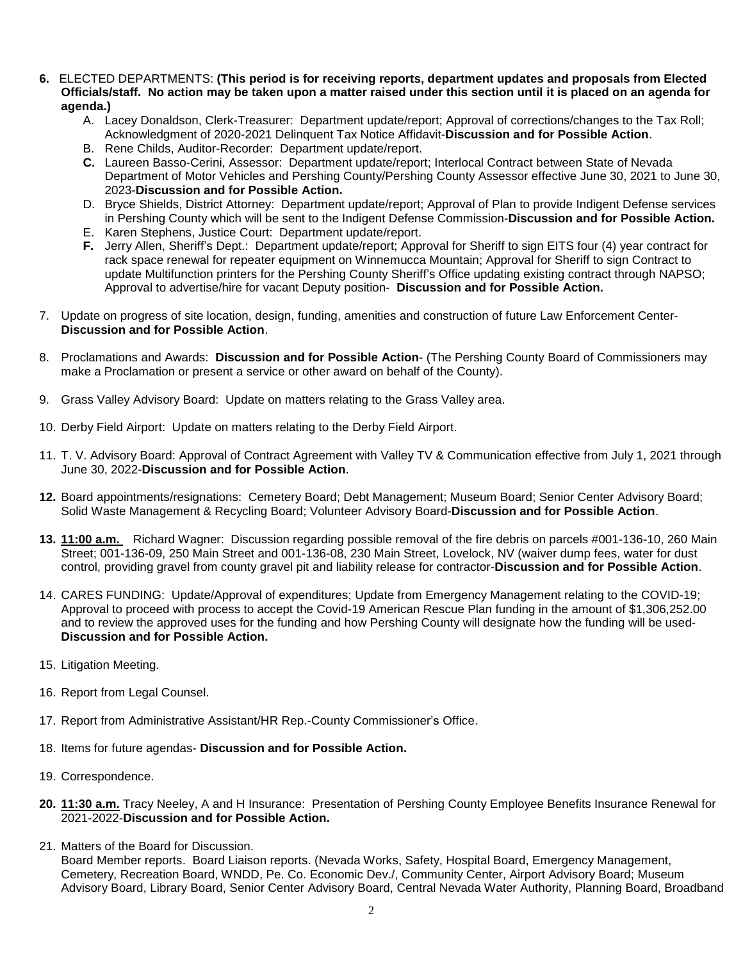- **6.** ELECTED DEPARTMENTS: **(This period is for receiving reports, department updates and proposals from Elected Officials/staff. No action may be taken upon a matter raised under this section until it is placed on an agenda for agenda.)**
	- A. Lacey Donaldson, Clerk-Treasurer: Department update/report; Approval of corrections/changes to the Tax Roll; Acknowledgment of 2020-2021 Delinquent Tax Notice Affidavit-**Discussion and for Possible Action**.
	- B. Rene Childs, Auditor-Recorder: Department update/report.
	- **C.** Laureen Basso-Cerini, Assessor: Department update/report; Interlocal Contract between State of Nevada Department of Motor Vehicles and Pershing County/Pershing County Assessor effective June 30, 2021 to June 30, 2023-**Discussion and for Possible Action.**
	- D. Bryce Shields, District Attorney: Department update/report; Approval of Plan to provide Indigent Defense services in Pershing County which will be sent to the Indigent Defense Commission-**Discussion and for Possible Action.**
	- E. Karen Stephens, Justice Court: Department update/report.
	- **F.** Jerry Allen, Sheriff's Dept.: Department update/report; Approval for Sheriff to sign EITS four (4) year contract for rack space renewal for repeater equipment on Winnemucca Mountain; Approval for Sheriff to sign Contract to update Multifunction printers for the Pershing County Sheriff's Office updating existing contract through NAPSO; Approval to advertise/hire for vacant Deputy position- **Discussion and for Possible Action.**
- 7. Update on progress of site location, design, funding, amenities and construction of future Law Enforcement Center-**Discussion and for Possible Action**.
- 8. Proclamations and Awards: **Discussion and for Possible Action** (The Pershing County Board of Commissioners may make a Proclamation or present a service or other award on behalf of the County).
- 9. Grass Valley Advisory Board: Update on matters relating to the Grass Valley area.
- 10. Derby Field Airport: Update on matters relating to the Derby Field Airport.
- 11. T. V. Advisory Board: Approval of Contract Agreement with Valley TV & Communication effective from July 1, 2021 through June 30, 2022-**Discussion and for Possible Action**.
- **12.** Board appointments/resignations: Cemetery Board; Debt Management; Museum Board; Senior Center Advisory Board; Solid Waste Management & Recycling Board; Volunteer Advisory Board-**Discussion and for Possible Action**.
- **13. 11:00 a.m.** Richard Wagner: Discussion regarding possible removal of the fire debris on parcels #001-136-10, 260 Main Street; 001-136-09, 250 Main Street and 001-136-08, 230 Main Street, Lovelock, NV (waiver dump fees, water for dust control, providing gravel from county gravel pit and liability release for contractor-**Discussion and for Possible Action**.
- 14. CARES FUNDING: Update/Approval of expenditures; Update from Emergency Management relating to the COVID-19; Approval to proceed with process to accept the Covid-19 American Rescue Plan funding in the amount of \$1,306,252.00 and to review the approved uses for the funding and how Pershing County will designate how the funding will be used-**Discussion and for Possible Action.**
- 15. Litigation Meeting.
- 16. Report from Legal Counsel.
- 17. Report from Administrative Assistant/HR Rep.-County Commissioner's Office.
- 18. Items for future agendas- **Discussion and for Possible Action.**
- 19. Correspondence.
- **20. 11:30 a.m.** Tracy Neeley, A and H Insurance: Presentation of Pershing County Employee Benefits Insurance Renewal for 2021-2022-**Discussion and for Possible Action.**
- 21. Matters of the Board for Discussion.

Board Member reports. Board Liaison reports. (Nevada Works, Safety, Hospital Board, Emergency Management, Cemetery, Recreation Board, WNDD, Pe. Co. Economic Dev./, Community Center, Airport Advisory Board; Museum Advisory Board, Library Board, Senior Center Advisory Board, Central Nevada Water Authority, Planning Board, Broadband